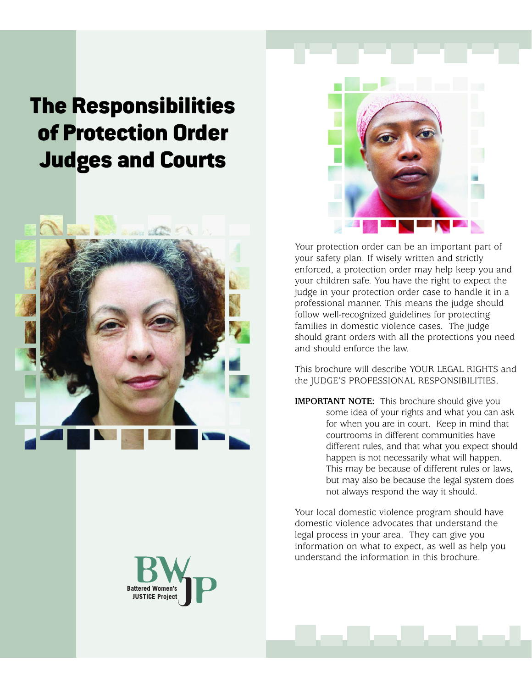# The Responsibilities of Protection Order Judges and Courts





Your protection order can be an important part of your safety plan. If wisely written and strictly enforced, a protection order may help keep you and your children safe. You have the right to expect the judge in your protection order case to handle it in a professional manner. This means the judge should follow well-recognized guidelines for protecting families in domestic violence cases. The judge should grant orders with all the protections you need and should enforce the law.

This brochure will describe YOUR LEGAL RIGHTS and the JUDGE'S PROFESSIONAL RESPONSIBILITIES.

**IMPORTANT NOTE:** This brochure should give you some idea of your rights and what you can ask for when you are in court. Keep in mind that courtrooms in different communities have different rules, and that what you expect should happen is not necessarily what will happen. This may be because of different rules or laws, but may also be because the legal system does not always respond the way it should.

Your local domestic violence program should have domestic violence advocates that understand the legal process in your area. They can give you information on what to expect, as well as help you understand the information in this brochure.

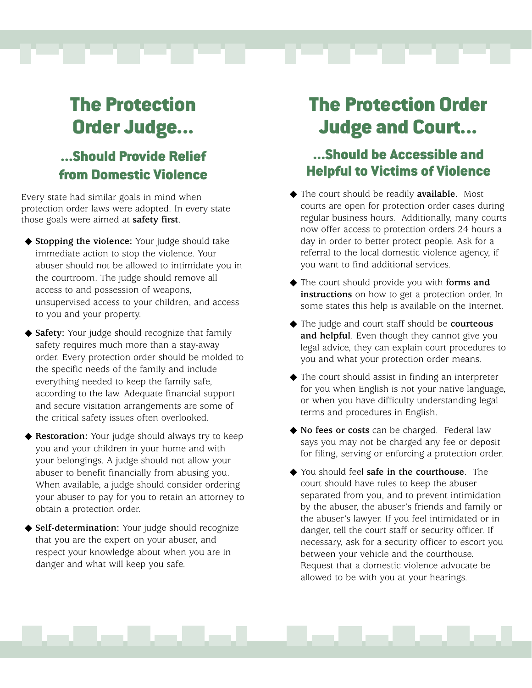---

## ...Should Provide Relief from Domestic Violence

Every state had similar goals in mind when protection order laws were adopted. In every state those goals were aimed at **safety first**.

- ◆ **Stopping the violence:** Your judge should take immediate action to stop the violence. Your abuser should not be allowed to intimidate you in the courtroom. The judge should remove all access to and possession of weapons, unsupervised access to your children, and access to you and your property.
- ◆ **Safety:** Your judge should recognize that family safety requires much more than a stay-away order. Every protection order should be molded to the specific needs of the family and include everything needed to keep the family safe, according to the law. Adequate financial support and secure visitation arrangements are some of the critical safety issues often overlooked.
- ◆ **Restoration:** Your judge should always try to keep you and your children in your home and with your belongings. A judge should not allow your abuser to benefit financially from abusing you. When available, a judge should consider ordering your abuser to pay for you to retain an attorney to obtain a protection order.
- ◆ **Self-determination:** Your judge should recognize that you are the expert on your abuser, and respect your knowledge about when you are in danger and what will keep you safe.

## The Protection Order Judge and Court...

n ma

### ...Should be Accessible and Helpful to Victims of Violence

- ◆ The court should be readily **available**. Most courts are open for protection order cases during regular business hours. Additionally, many courts now offer access to protection orders 24 hours a day in order to better protect people. Ask for a referral to the local domestic violence agency, if you want to find additional services.
- ◆ The court should provide you with **forms and instructions** on how to get a protection order. In some states this help is available on the Internet.
- ◆ The judge and court staff should be **courteous and helpful**. Even though they cannot give you legal advice, they can explain court procedures to you and what your protection order means.
- ◆ The court should assist in finding an interpreter for you when English is not your native language, or when you have difficulty understanding legal terms and procedures in English.
- ◆ **No fees or costs** can be charged. Federal law says you may not be charged any fee or deposit for filing, serving or enforcing a protection order.
- ◆ You should feel **safe in the courthouse**. The court should have rules to keep the abuser separated from you, and to prevent intimidation by the abuser, the abuser's friends and family or the abuser's lawyer. If you feel intimidated or in danger, tell the court staff or security officer. If necessary, ask for a security officer to escort you between your vehicle and the courthouse. Request that a domestic violence advocate be allowed to be with you at your hearings.

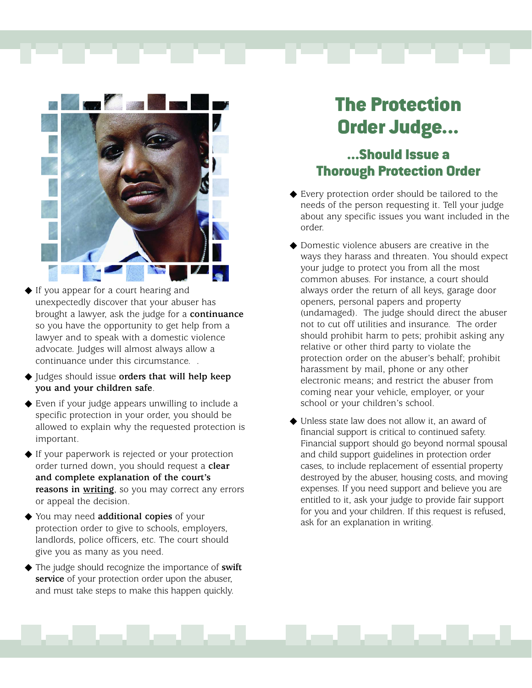



- ◆ If you appear for a court hearing and unexpectedly discover that your abuser has brought a lawyer, ask the judge for a **continuance** so you have the opportunity to get help from a lawyer and to speak with a domestic violence advocate. Judges will almost always allow a continuance under this circumstance. .
- ◆ Judges should issue **orders that will help keep you and your children safe**.
- ◆ Even if your judge appears unwilling to include a specific protection in your order, you should be allowed to explain why the requested protection is important.
- ◆ If your paperwork is rejected or your protection order turned down, you should request a **clear and complete explanation of the court's reasons in writing**, so you may correct any errors or appeal the decision.
- ◆ You may need **additional copies** of your protection order to give to schools, employers, landlords, police officers, etc. The court should give you as many as you need.
- ◆ The judge should recognize the importance of **swift service** of your protection order upon the abuser, and must take steps to make this happen quickly.

### ...Should Issue a Thorough Protection Order

- ◆ Every protection order should be tailored to the needs of the person requesting it. Tell your judge about any specific issues you want included in the order.
- Domestic violence abusers are creative in the ways they harass and threaten. You should expect your judge to protect you from all the most common abuses. For instance, a court should always order the return of all keys, garage door openers, personal papers and property (undamaged). The judge should direct the abuser not to cut off utilities and insurance. The order should prohibit harm to pets; prohibit asking any relative or other third party to violate the protection order on the abuser's behalf; prohibit harassment by mail, phone or any other electronic means; and restrict the abuser from coming near your vehicle, employer, or your school or your children's school.
- ◆ Unless state law does not allow it, an award of financial support is critical to continued safety. Financial support should go beyond normal spousal and child support guidelines in protection order cases, to include replacement of essential property destroyed by the abuser, housing costs, and moving expenses. If you need support and believe you are entitled to it, ask your judge to provide fair support for you and your children. If this request is refused, ask for an explanation in writing.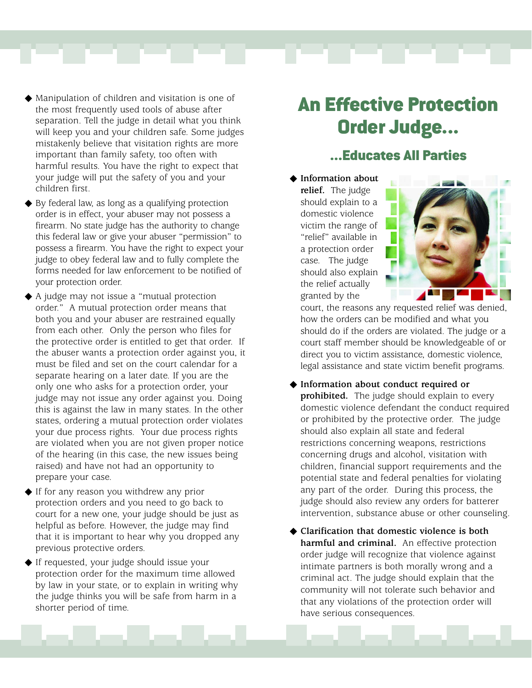

- Manipulation of children and visitation is one of the most frequently used tools of abuse after separation. Tell the judge in detail what you think will keep you and your children safe. Some judges mistakenly believe that visitation rights are more important than family safety, too often with harmful results. You have the right to expect that your judge will put the safety of you and your children first.
- ◆ By federal law, as long as a qualifying protection order is in effect, your abuser may not possess a firearm. No state judge has the authority to change this federal law or give your abuser "permission" to possess a firearm. You have the right to expect your judge to obey federal law and to fully complete the forms needed for law enforcement to be notified of your protection order.
- ◆ A judge may not issue a "mutual protection order." A mutual protection order means that both you and your abuser are restrained equally from each other. Only the person who files for the protective order is entitled to get that order. If the abuser wants a protection order against you, it must be filed and set on the court calendar for a separate hearing on a later date. If you are the only one who asks for a protection order, your judge may not issue any order against you. Doing this is against the law in many states. In the other states, ordering a mutual protection order violates your due process rights. Your due process rights are violated when you are not given proper notice of the hearing (in this case, the new issues being raised) and have not had an opportunity to prepare your case.
- ◆ If for any reason you withdrew any prior protection orders and you need to go back to court for a new one, your judge should be just as helpful as before. However, the judge may find that it is important to hear why you dropped any previous protective orders.
- ◆ If requested, your judge should issue your protection order for the maximum time allowed by law in your state, or to explain in writing why the judge thinks you will be safe from harm in a shorter period of time.

## An Effective Protection Order Judge...

### ...Educates All Parties

◆ **Information about relief.** The judge should explain to a domestic violence victim the range of "relief" available in a protection order case. The judge should also explain the relief actually granted by the



court, the reasons any requested relief was denied, how the orders can be modified and what you should do if the orders are violated. The judge or a court staff member should be knowledgeable of or direct you to victim assistance, domestic violence, legal assistance and state victim benefit programs.

- ◆ **Information about conduct required or prohibited.** The judge should explain to every domestic violence defendant the conduct required or prohibited by the protective order. The judge should also explain all state and federal restrictions concerning weapons, restrictions concerning drugs and alcohol, visitation with children, financial support requirements and the potential state and federal penalties for violating any part of the order. During this process, the judge should also review any orders for batterer intervention, substance abuse or other counseling.
- ◆ **Clarification that domestic violence is both harmful and criminal.** An effective protection order judge will recognize that violence against intimate partners is both morally wrong and a criminal act. The judge should explain that the community will not tolerate such behavior and that any violations of the protection order will have serious consequences.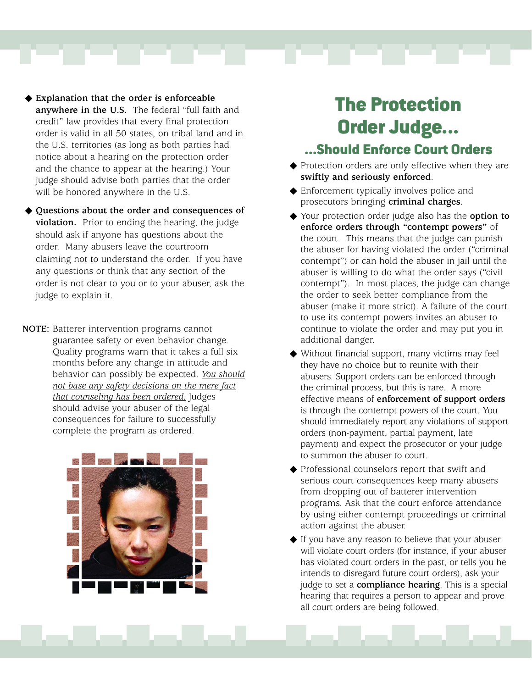

- ◆ **Explanation that the order is enforceable anywhere in the U.S.** The federal "full faith and credit" law provides that every final protection order is valid in all 50 states, on tribal land and in the U.S. territories (as long as both parties had notice about a hearing on the protection order and the chance to appear at the hearing.) Your judge should advise both parties that the order will be honored anywhere in the U.S.
- ◆ **Questions about the order and consequences of violation.** Prior to ending the hearing, the judge should ask if anyone has questions about the order. Many abusers leave the courtroom claiming not to understand the order. If you have any questions or think that any section of the order is not clear to you or to your abuser, ask the judge to explain it.
- **NOTE:** Batterer intervention programs cannot guarantee safety or even behavior change. Quality programs warn that it takes a full six months before any change in attitude and behavior can possibly be expected. *You should not base any safety decisions on the mere fact that counseling has been ordered.* Judges should advise your abuser of the legal consequences for failure to successfully complete the program as ordered.



### ...Should Enforce Court Orders

- ◆ Protection orders are only effective when they are **swiftly and seriously enforced**.
- ◆ Enforcement typically involves police and prosecutors bringing **criminal charges**.
- ◆ Your protection order judge also has the **option to enforce orders through "contempt powers"** of the court. This means that the judge can punish the abuser for having violated the order ("criminal contempt") or can hold the abuser in jail until the abuser is willing to do what the order says ("civil contempt"). In most places, the judge can change the order to seek better compliance from the abuser (make it more strict). A failure of the court to use its contempt powers invites an abuser to continue to violate the order and may put you in additional danger.
- ◆ Without financial support, many victims may feel they have no choice but to reunite with their abusers. Support orders can be enforced through the criminal process, but this is rare. A more effective means of **enforcement of support orders** is through the contempt powers of the court. You should immediately report any violations of support orders (non-payment, partial payment, late payment) and expect the prosecutor or your judge to summon the abuser to court.
- ◆ Professional counselors report that swift and serious court consequences keep many abusers from dropping out of batterer intervention programs. Ask that the court enforce attendance by using either contempt proceedings or criminal action against the abuser.
- ◆ If you have any reason to believe that your abuser will violate court orders (for instance, if your abuser has violated court orders in the past, or tells you he intends to disregard future court orders), ask your judge to set a **compliance hearing**. This is a special hearing that requires a person to appear and prove all court orders are being followed.